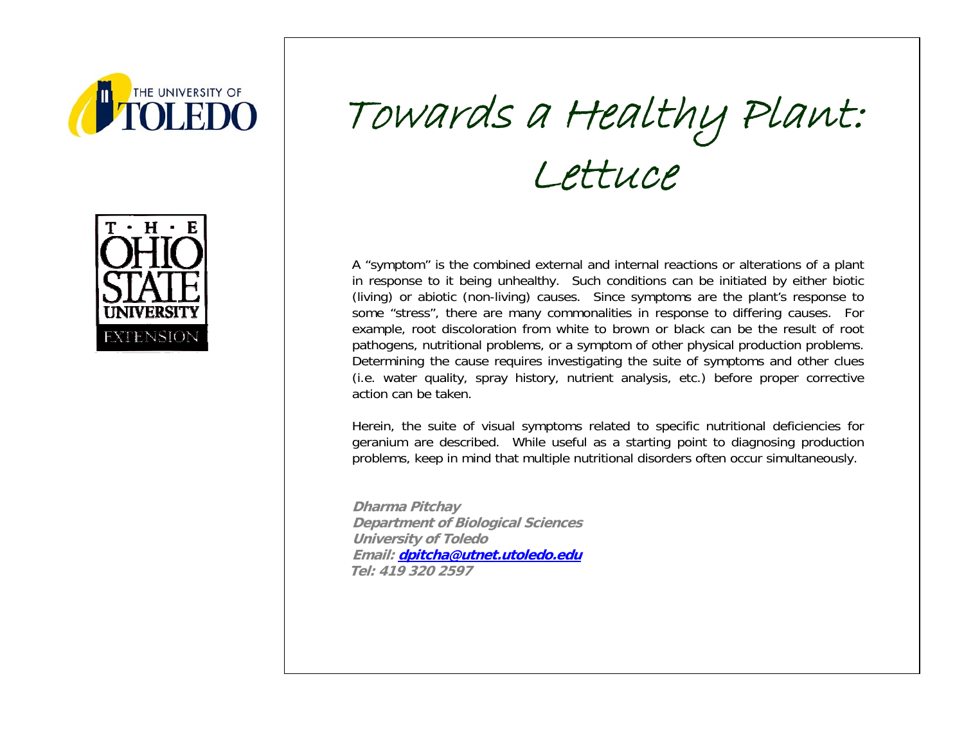



Towards a Healthy Plant:

Lettuce

A "symptom" is the combined external and internal reactions or alterations of a plant in response to it being unhealthy. Such conditions can be initiated by either biotic (living) or abiotic (non-living) causes. Since symptoms are the plant's response to some "stress", there are many commonalities in response to differing causes. For example, root discoloration from white to brown or black can be the result of root pathogens, nutritional problems, or a symptom of other physical production problems. Determining the cause requires investigating the suite of symptoms and other clues (i.e. water quality, spray history, nutrient analysis, etc.) before proper corrective action can be taken.

Herein, the suite of visual symptoms related to specific nutritional deficiencies for geranium are described. While useful as a starting point to diagnosing production problems, keep in mind that multiple nutritional disorders often occur simultaneously.

**Dharma Pitchay Department of Biological Sciences University of Toledo Email: dpitcha@utnet.utoledo.edu Tel: 419 320 2597**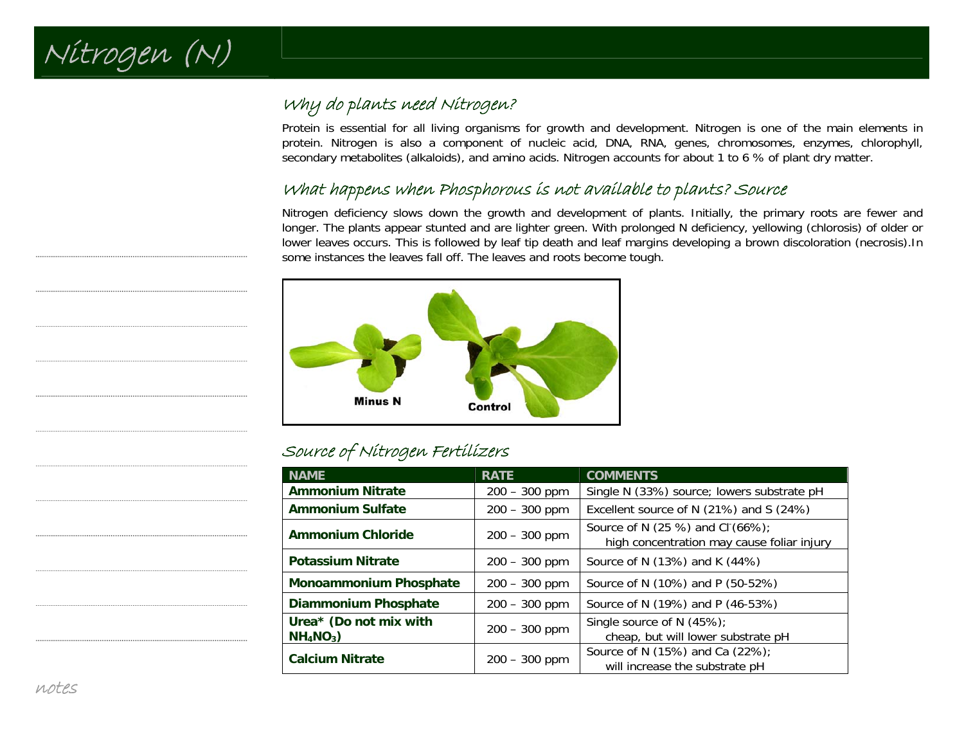

## Why do plants need Nitrogen?

Protein is essential for all living organisms for growth and development. Nitrogen is one of the main elements in protein. Nitrogen is also a component of nucleic acid, DNA, RNA, genes, chromosomes, enzymes, chlorophyll, secondary metabolites (alkaloids), and amino acids. Nitrogen accounts for about 1 to 6 % of plant dry matter.

## What happens when Phosphorous is not available to plants? Source

Nitrogen deficiency slows down the growth and development of plants. Initially, the primary roots are fewer and longer. The plants appear stunted and are lighter green. With prolonged N deficiency, yellowing (chlorosis) of older or lower leaves occurs. This is followed by leaf tip death and leaf margins developing a brown discoloration (necrosis).In some instances the leaves fall off. The leaves and roots become tough.



## Source of Nitrogen Fertilizers

| <b>NAME</b>                                                 | <b>RATE</b>     | <b>COMMENTS</b>                                                                |
|-------------------------------------------------------------|-----------------|--------------------------------------------------------------------------------|
| <b>Ammonium Nitrate</b>                                     | $200 - 300$ ppm | Single N (33%) source; lowers substrate pH                                     |
| <b>Ammonium Sulfate</b>                                     | $200 - 300$ ppm | Excellent source of N (21%) and S (24%)                                        |
| <b>Ammonium Chloride</b>                                    | $200 - 300$ ppm | Source of N (25 %) and Cl (66%);<br>high concentration may cause foliar injury |
| <b>Potassium Nitrate</b>                                    | $200 - 300$ ppm | Source of N (13%) and K (44%)                                                  |
| <b>Monoammonium Phosphate</b>                               | $200 - 300$ ppm | Source of N (10%) and P (50-52%)                                               |
| <b>Diammonium Phosphate</b>                                 | $200 - 300$ ppm | Source of N (19%) and P (46-53%)                                               |
| Urea* (Do not mix with<br>NH <sub>4</sub> NO <sub>3</sub> ) | $200 - 300$ ppm | Single source of N $(45%)$ ;<br>cheap, but will lower substrate pH             |
| <b>Calcium Nitrate</b>                                      | $200 - 300$ ppm | Source of N (15%) and Ca (22%);<br>will increase the substrate pH              |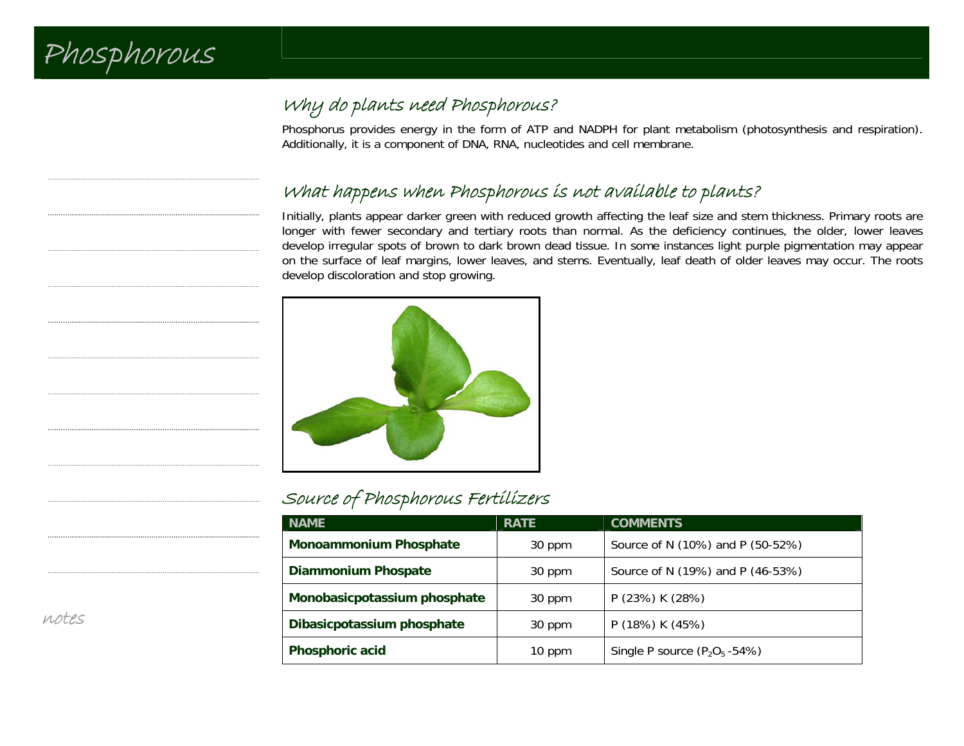# Why do plants need Phosphorous?

Phosphorus provides energy in the form of ATP and NADPH for plant metabolism (photosynthesis and respiration). Additionally, it is a component of DNA, RNA, nucleotides and cell membrane.

## What happens when Phosphorous is not available to plants?

Initially, plants appear darker green with reduced growth affecting the leaf size and stem thickness. Primary roots are longer with fewer secondary and tertiary roots than normal. As the deficiency continues, the older, lower leaves develop irregular spots of brown to dark brown dead tissue. In some instances light purple pigmentation may appear on the surface of leaf margins, lower leaves, and stems. Eventually, leaf death of older leaves may occur. The roots develop discoloration and stop growing.



## Source of Phosphorous Fertilizers

| <b>NAME</b>                   | <b>RATE</b> | <b>COMMENTS</b>                   |
|-------------------------------|-------------|-----------------------------------|
| <b>Monoammonium Phosphate</b> | 30 ppm      | Source of N (10%) and P (50-52%)  |
| <b>Diammonium Phospate</b>    | 30 ppm      | Source of N (19%) and P (46-53%)  |
| Monobasicpotassium phosphate  | 30 ppm      | P (23%) K (28%)                   |
| Dibasicpotassium phosphate    | 30 ppm      | P (18%) K (45%)                   |
| Phosphoric acid               | 10 ppm      | Single P source $(P_2O_5 - 54\%)$ |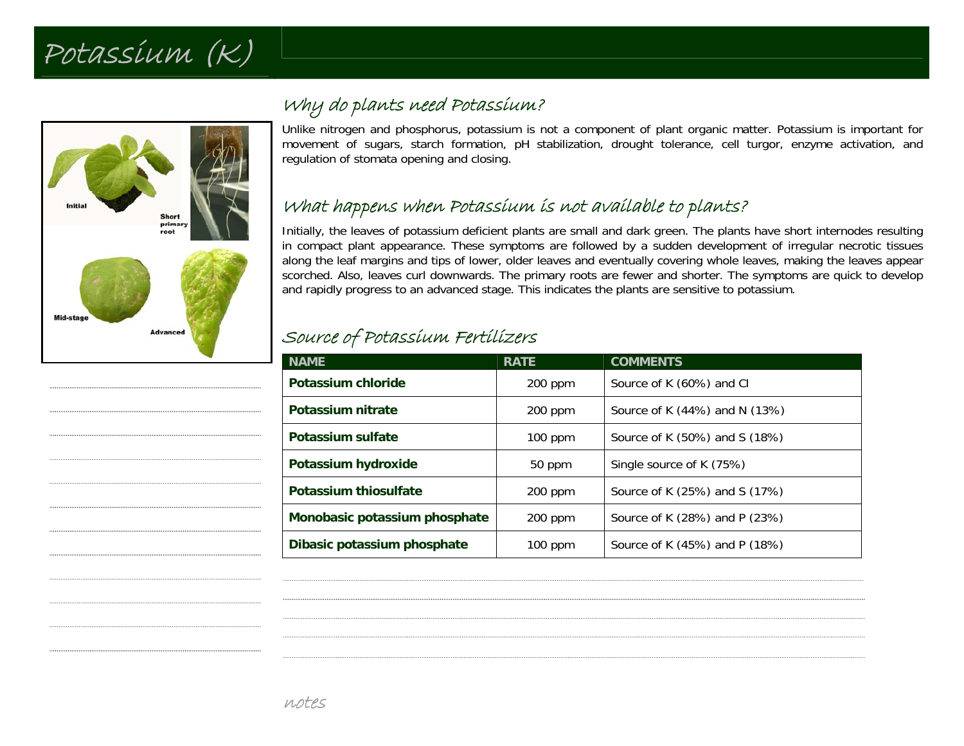



# Why do plants need Potassium?

Unlike nitrogen and phosphorus, potassium is not a component of plant organic matter. Potassium is important for movement of sugars, starch formation, pH stabilization, drought tolerance, cell turgor, enzyme activation, and regulation of stomata opening and closing.

## What happens when Potassium is not available to plants?

Initially, the leaves of potassium deficient plants are small and dark green. The plants have short internodes resulting in compact plant appearance. These symptoms are followed by a sudden development of irregular necrotic tissues along the leaf margins and tips of lower, older leaves and eventually covering whole leaves, making the leaves appear scorched. Also, leaves curl downwards. The primary roots are fewer and shorter. The symptoms are quick to develop and rapidly progress to an advanced stage. This indicates the plants are sensitive to potassium.

# Source of Potassium Fertilizers

| <b>NAME</b>                   | <b>RATE</b> | <b>COMMENTS</b>               |
|-------------------------------|-------------|-------------------------------|
| Potassium chloride            | 200 ppm     | Source of K (60%) and Cl      |
| Potassium nitrate             | 200 ppm     | Source of K (44%) and N (13%) |
| Potassium sulfate             | $100$ ppm   | Source of K (50%) and S (18%) |
| Potassium hydroxide           | 50 ppm      | Single source of K (75%)      |
| Potassium thiosulfate         | 200 ppm     | Source of K (25%) and S (17%) |
| Monobasic potassium phosphate | $200$ ppm   | Source of K (28%) and P (23%) |
| Dibasic potassium phosphate   | $100$ ppm   | Source of K (45%) and P (18%) |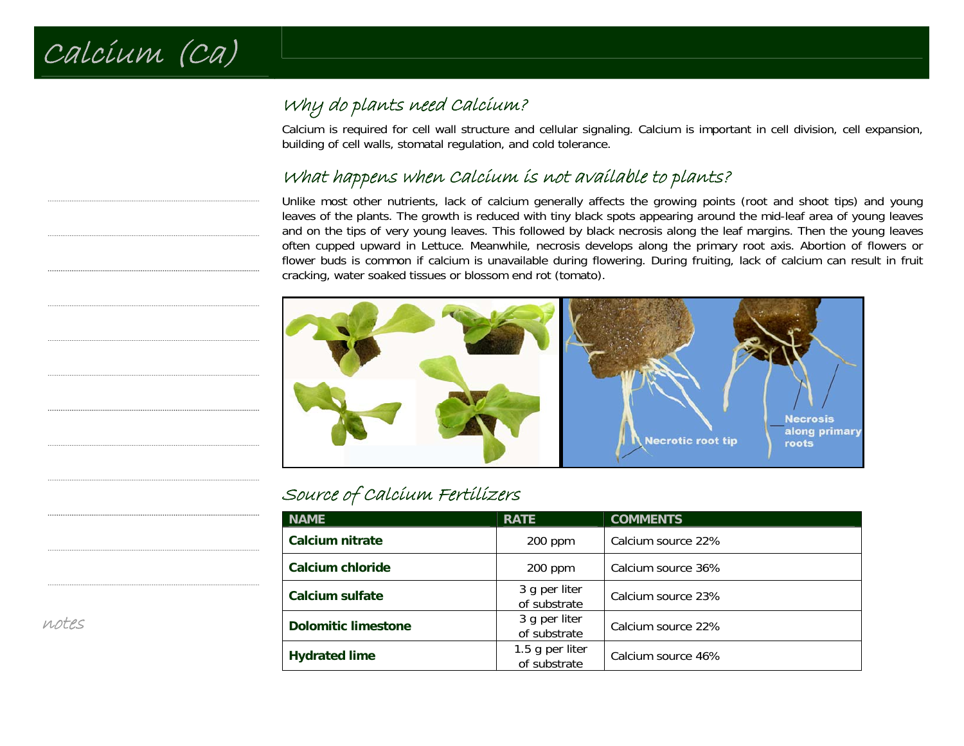

# Why do plants need Calcium?

Calcium is required for cell wall structure and cellular signaling. Calcium is important in cell division, cell expansion, building of cell walls, stomatal regulation, and cold tolerance.

## What happens when Calcium is not available to plants?

Unlike most other nutrients, lack of calcium generally affects the growing points (root and shoot tips) and young leaves of the plants. The growth is reduced with tiny black spots appearing around the mid-leaf area of young leaves and on the tips of very young leaves. This followed by black necrosis along the leaf margins. Then the young leaves often cupped upward in Lettuce. Meanwhile, necrosis develops along the primary root axis. Abortion of flowers or flower buds is common if calcium is unavailable during flowering. During fruiting, lack of calcium can result in fruit cracking, water soaked tissues or blossom end rot (tomato).



Source of Calcium Fertilizers

| <b>NAME</b>                | <b>RATE</b>                     | <b>COMMENTS</b>    |
|----------------------------|---------------------------------|--------------------|
| <b>Calcium nitrate</b>     | $200$ ppm                       | Calcium source 22% |
| Calcium chloride           | $200$ ppm                       | Calcium source 36% |
| Calcium sulfate            | 3 g per liter<br>of substrate   | Calcium source 23% |
| <b>Dolomitic limestone</b> | 3 g per liter<br>of substrate   | Calcium source 22% |
| <b>Hydrated lime</b>       | 1.5 g per liter<br>of substrate | Calcium source 46% |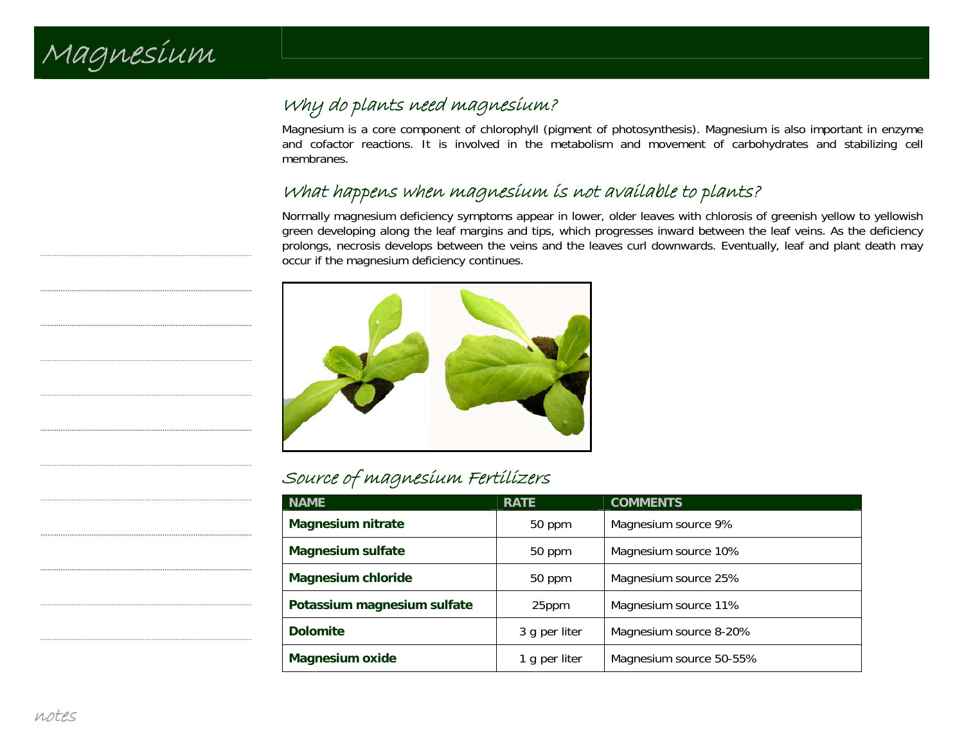

# Why do plants need magnesium?

Magnesium is a core component of chlorophyll (pigment of photosynthesis). Magnesium is also important in enzyme and cofactor reactions. It is involved in the metabolism and movement of carbohydrates and stabilizing cell membranes.

# What happens when magnesium is not available to plants?

Normally magnesium deficiency symptoms appear in lower, older leaves with chlorosis of greenish yellow to yellowish green developing along the leaf margins and tips, which progresses inward between the leaf veins. As the deficiency prolongs, necrosis develops between the veins and the leaves curl downwards. Eventually, leaf and plant death may occur if the magnesium deficiency continues.



## Source of magnesium Fertilizers

| <b>NAME</b>                 | <b>RATE</b>   | <b>COMMENTS</b>         |
|-----------------------------|---------------|-------------------------|
| <b>Magnesium nitrate</b>    | 50 ppm        | Magnesium source 9%     |
| <b>Magnesium sulfate</b>    | 50 ppm        | Magnesium source 10%    |
| <b>Magnesium chloride</b>   | 50 ppm        | Magnesium source 25%    |
| Potassium magnesium sulfate | 25ppm         | Magnesium source 11%    |
| <b>Dolomite</b>             | 3 g per liter | Magnesium source 8-20%  |
| <b>Magnesium oxide</b>      | 1 g per liter | Magnesium source 50-55% |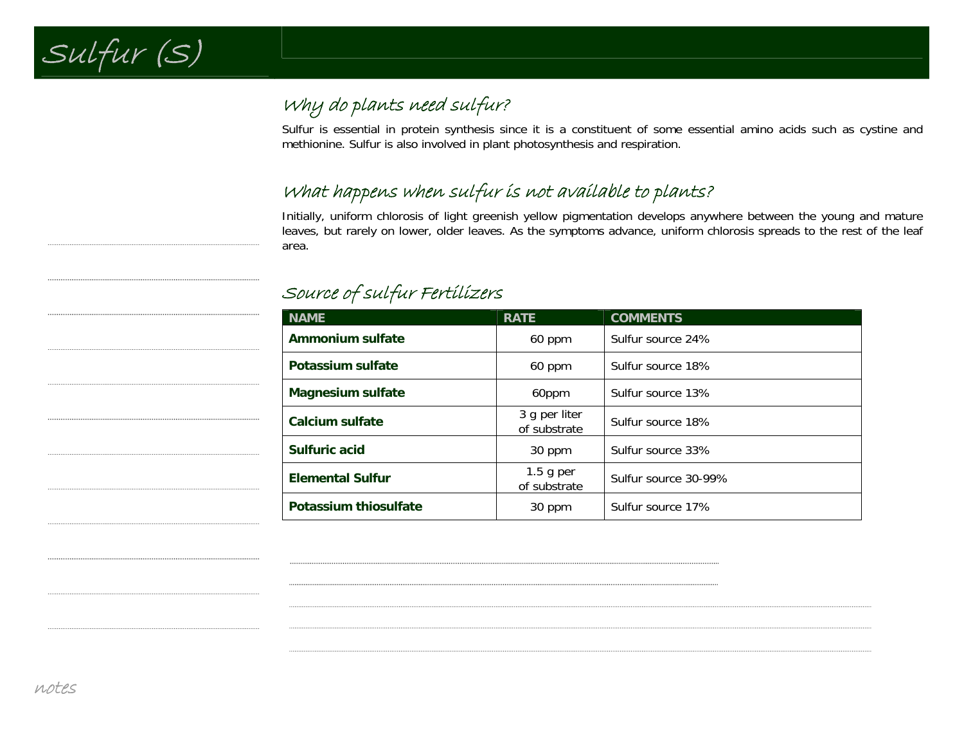Sulfur (S)

# Why do plants need sulfur?

Sulfur is essential in protein synthesis since it is a constituent of some essential amino acids such as cystine and methionine. Sulfur is also involved in plant photosynthesis and respiration.

# What happens when sulfur is not available to plants?

Initially, uniform chlorosis of light greenish yellow pigmentation develops anywhere between the young and mature leaves, but rarely on lower, older leaves. As the symptoms advance, uniform chlorosis spreads to the rest of the leaf area.

## Source of sulfur Fertilizers

| <b>NAME</b>                  | <b>RATE</b>                   | <b>COMMENTS</b>      |
|------------------------------|-------------------------------|----------------------|
| Ammonium sulfate             | 60 ppm                        | Sulfur source 24%    |
| Potassium sulfate            | 60 ppm                        | Sulfur source 18%    |
| <b>Magnesium sulfate</b>     | 60ppm                         | Sulfur source 13%    |
| Calcium sulfate              | 3 g per liter<br>of substrate | Sulfur source 18%    |
| Sulfuric acid                | 30 ppm                        | Sulfur source 33%    |
| <b>Elemental Sulfur</b>      | $1.5$ g per<br>of substrate   | Sulfur source 30-99% |
| <b>Potassium thiosulfate</b> | 30 ppm                        | Sulfur source 17%    |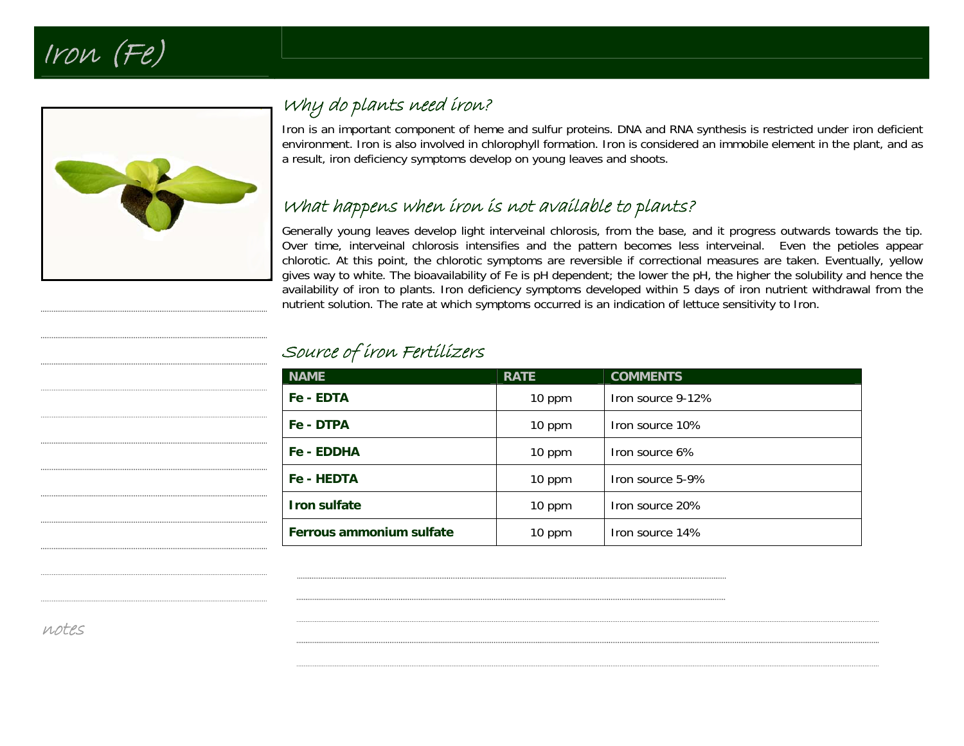



## Why do plants need iron?

Iron is an important component of heme and sulfur proteins. DNA and RNA synthesis is restricted under iron deficient environment. Iron is also involved in chlorophyll formation. Iron is considered an immobile element in the plant, and as a result, iron deficiency symptoms develop on young leaves and shoots.

## What happens when iron is not available to plants?

Generally young leaves develop light interveinal chlorosis, from the base, and it progress outwards towards the tip. Over time, interveinal chlorosis intensifies and the pattern becomes less interveinal. Even the petioles appear chlorotic. At this point, the chlorotic symptoms are reversible if correctional measures are taken. Eventually, yellow gives way to white. The bioavailability of Fe is pH dependent; the lower the pH, the higher the solubility and hence the availability of iron to plants. Iron deficiency symptoms developed within 5 days of iron nutrient withdrawal from the nutrient solution. The rate at which symptoms occurred is an indication of lettuce sensitivity to Iron.

| <b>NAME</b>              | <b>RATE</b> | <b>COMMENTS</b>   |
|--------------------------|-------------|-------------------|
| Fe - EDTA                | 10 ppm      | Iron source 9-12% |
| Fe - DTPA                | 10 ppm      | Iron source 10%   |
| <b>Fe - EDDHA</b>        | 10 ppm      | Iron source 6%    |
| Fe - HEDTA               | 10 ppm      | Iron source 5-9%  |
| <b>Iron sulfate</b>      | 10 ppm      | Iron source 20%   |
| Ferrous ammonium sulfate | 10 ppm      | Iron source 14%   |

### Source of iron Fertilizers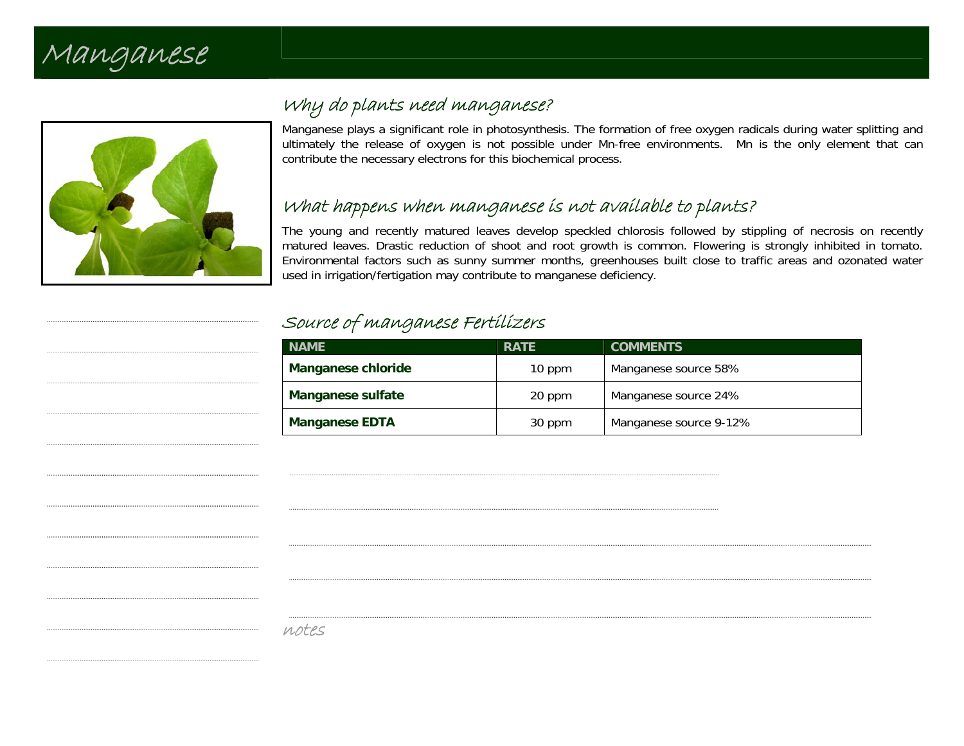

# Why do plants need manganese?

Manganese plays a significant role in photosynthesis. The formation of free oxygen radicals during water splitting and ultimately the release of oxygen is not possible under Mn-free environments. Mn is the only element that can contribute the necessary electrons for this biochemical process.

# What happens when manganese is not available to plants?

The young and recently matured leaves develop speckled chlorosis followed by stippling of necrosis on recently matured leaves. Drastic reduction of shoot and root growth is common. Flowering is strongly inhibited in tomato. Environmental factors such as sunny summer months, greenhouses built close to traffic areas and ozonated water used in irrigation/fertigation may contribute to manganese deficiency.

## Source of manganese Fertilizers

| <b>NAME</b>               | <b>RATE</b> | <b>COMMENTS</b>        |
|---------------------------|-------------|------------------------|
| <b>Manganese chloride</b> | 10 ppm      | Manganese source 58%   |
| <b>Manganese sulfate</b>  | 20 ppm      | Manganese source 24%   |
| <b>Manganese EDTA</b>     | 30 ppm      | Manganese source 9-12% |

| notes |
|-------|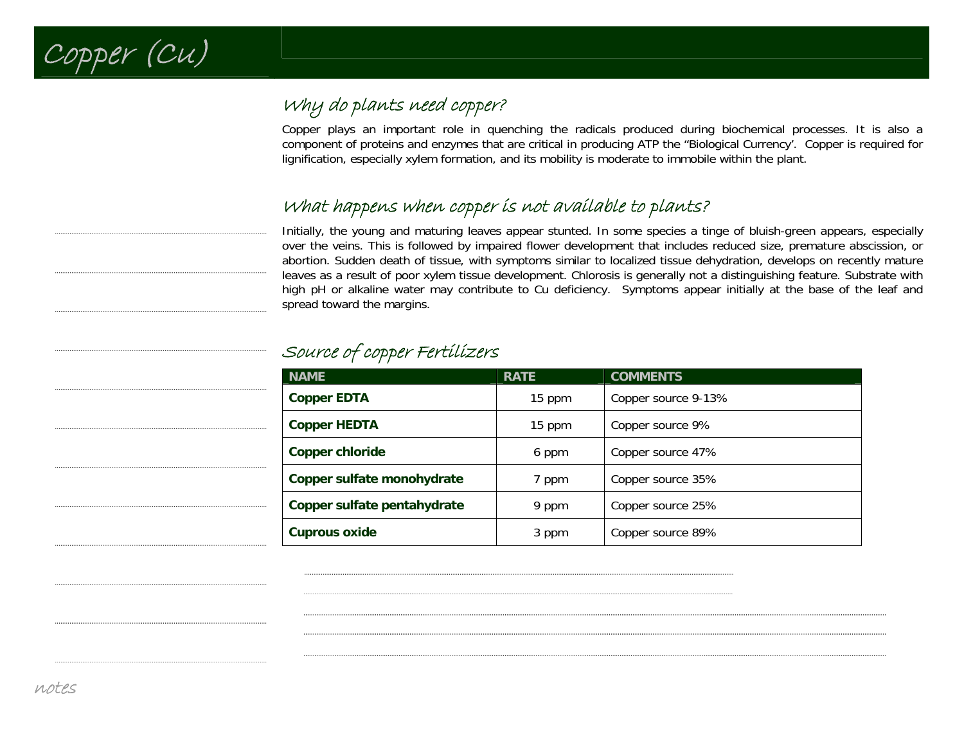

# Why do plants need copper?

Copper plays an important role in quenching the radicals produced during biochemical processes. It is also a component of proteins and enzymes that are critical in producing ATP the "Biological Currency'. Copper is required for lignification, especially xylem formation, and its mobility is moderate to immobile within the plant.

## What happens when copper is not available to plants?

Initially, the young and maturing leaves appear stunted. In some species a tinge of bluish-green appears, especially over the veins. This is followed by impaired flower development that includes reduced size, premature abscission, or abortion. Sudden death of tissue, with symptoms similar to localized tissue dehydration, develops on recently mature leaves as a result of poor xylem tissue development. Chlorosis is generally not a distinguishing feature. Substrate with high pH or alkaline water may contribute to Cu deficiency. Symptoms appear initially at the base of the leaf and spread toward the margins.

| <b>NAME</b>                 | <b>RATE</b> | <b>COMMENTS</b>     |
|-----------------------------|-------------|---------------------|
| <b>Copper EDTA</b>          | 15 ppm      | Copper source 9-13% |
| <b>Copper HEDTA</b>         | 15 ppm      | Copper source 9%    |
| <b>Copper chloride</b>      | 6 ppm       | Copper source 47%   |
| Copper sulfate monohydrate  | 7 ppm       | Copper source 35%   |
| Copper sulfate pentahydrate | 9 ppm       | Copper source 25%   |
| <b>Cuprous oxide</b>        | 3 ppm       | Copper source 89%   |

## Source of copper Fertilizers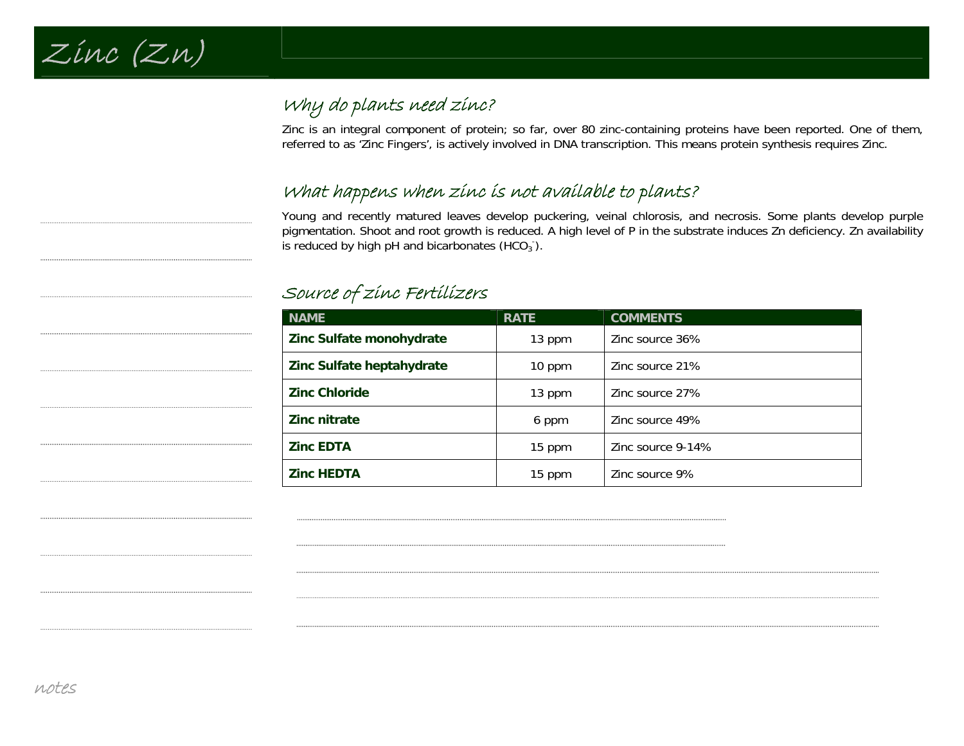

# Why do plants need zinc?

Zinc is an integral component of protein; so far, over 80 zinc-containing proteins have been reported. One of them, referred to as 'Zinc Fingers', is actively involved in DNA transcription. This means protein synthesis requires Zinc.

# What happens when zinc is not available to plants?

Young and recently matured leaves develop puckering, veinal chlorosis, and necrosis. Some plants develop purple pigmentation. Shoot and root growth is reduced. A high level of P in the substrate induces Zn deficiency. Zn availability is reduced by high pH and bicarbonates  $(HCO<sub>3</sub>)$ .

Source of zinc Fertilizers

| <b>NAME</b>               | <b>RATE</b> | <b>COMMENTS</b>   |
|---------------------------|-------------|-------------------|
| Zinc Sulfate monohydrate  | 13 ppm      | Zinc source 36%   |
| Zinc Sulfate heptahydrate | 10 ppm      | Zinc source 21%   |
| <b>Zinc Chloride</b>      | 13 ppm      | Zinc source 27%   |
| Zinc nitrate              | 6 ppm       | Zinc source 49%   |
| <b>Zinc EDTA</b>          | 15 ppm      | Zinc source 9-14% |
| <b>Zinc HEDTA</b>         | 15 ppm      | 7inc source 9%    |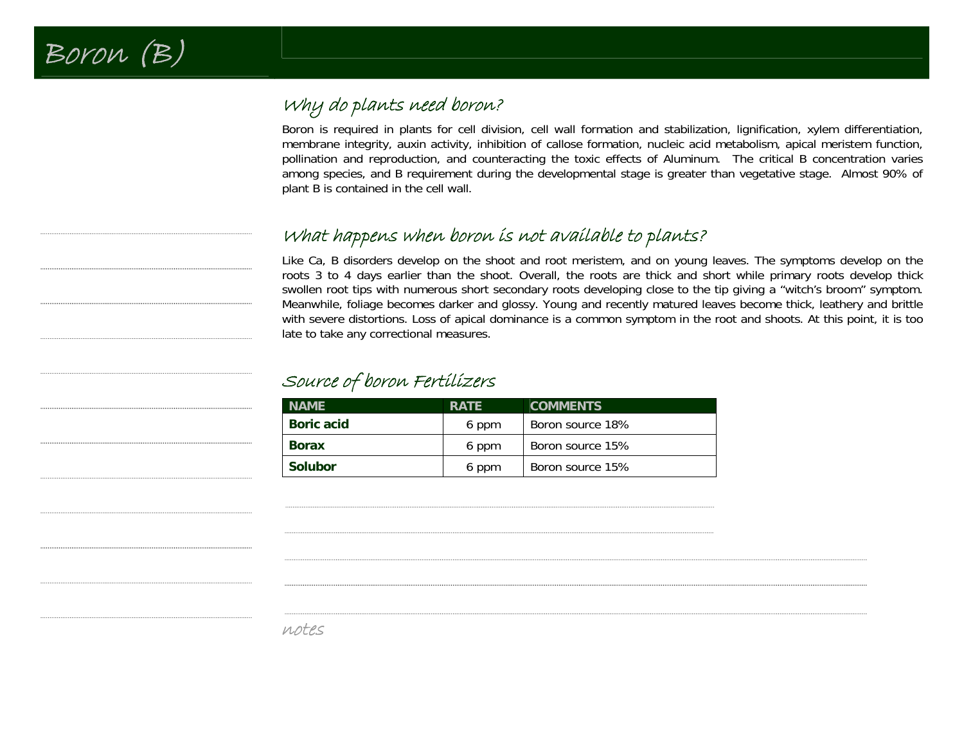## Why do plants need boron?

Boron is required in plants for cell division, cell wall formation and stabilization, lignification, xylem differentiation, membrane integrity, auxin activity, inhibition of callose formation, nucleic acid metabolism, apical meristem function, pollination and reproduction, and counteracting the toxic effects of Aluminum. The critical B concentration varies among species, and B requirement during the developmental stage is greater than vegetative stage. Almost 90% of plant B is contained in the cell wall.

## What happens when boron is not available to plants?

Like Ca, B disorders develop on the shoot and root meristem, and on young leaves. The symptoms develop on the roots 3 to 4 days earlier than the shoot. Overall, the roots are thick and short while primary roots develop thick swollen root tips with numerous short secondary roots developing close to the tip giving a "witch's broom" symptom. Meanwhile, foliage becomes darker and glossy. Young and recently matured leaves become thick, leathery and brittle with severe distortions. Loss of apical dominance is a common symptom in the root and shoots. At this point, it is too late to take any correctional measures.

#### Source of boron Fertilizers

| <b>NAME</b>       | <b>RATF</b> | <b>COMMENTS</b>  |
|-------------------|-------------|------------------|
| <b>Boric acid</b> | 6 ppm       | Boron source 18% |
| <b>Borax</b>      | 6 ppm       | Boron source 15% |
| Solubor           | 6 ppm       | Boron source 15% |